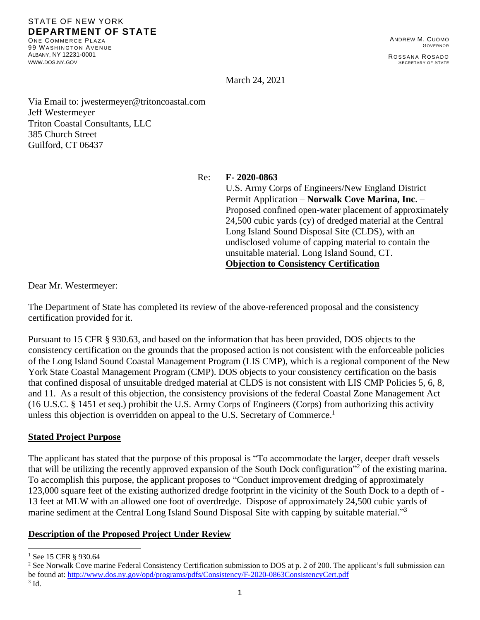#### STATE OF NEW YORK **DEPARTMENT OF STATE**

ONE COMMERCE PLAZA 99 WASHINGTON AVENUE ALBANY, NY 12231-0001 [WWW](http://www.dos.ny.gov/).DOS.NY.GOV

March 24, 2021

Via Email to: jwestermeyer@tritoncoastal.com Jeff Westermeyer Triton Coastal Consultants, LLC 385 Church Street Guilford, CT 06437

Re: **F- 2020-0863**

U.S. Army Corps of Engineers/New England District Permit Application – **Norwalk Cove Marina, Inc**. – Proposed confined open-water placement of approximately 24,500 cubic yards (cy) of dredged material at the Central Long Island Sound Disposal Site (CLDS), with an undisclosed volume of capping material to contain the unsuitable material. Long Island Sound, CT. **Objection to Consistency Certification**

Dear Mr. Westermeyer:

The Department of State has completed its review of the above-referenced proposal and the consistency certification provided for it.

Pursuant to 15 CFR § 930.63, and based on the information that has been provided, DOS objects to the consistency certification on the grounds that the proposed action is not consistent with the enforceable policies of the Long Island Sound Coastal Management Program (LIS CMP), which is a regional component of the New York State Coastal Management Program (CMP). DOS objects to your consistency certification on the basis that confined disposal of unsuitable dredged material at CLDS is not consistent with LIS CMP Policies 5, 6, 8, and 11. As a result of this objection, the consistency provisions of the federal Coastal Zone Management Act (16 U.S.C. § 1451 et seq.) prohibit the U.S. Army Corps of Engineers (Corps) from authorizing this activity unless this objection is overridden on appeal to the U.S. Secretary of Commerce.<sup>1</sup>

#### **Stated Project Purpose**

The applicant has stated that the purpose of this proposal is "To accommodate the larger, deeper draft vessels that will be utilizing the recently approved expansion of the South Dock configuration<sup>32</sup> of the existing marina. To accomplish this purpose, the applicant proposes to "Conduct improvement dredging of approximately 123,000 square feet of the existing authorized dredge footprint in the vicinity of the South Dock to a depth of - 13 feet at MLW with an allowed one foot of overdredge. Dispose of approximately 24,500 cubic yards of marine sediment at the Central Long Island Sound Disposal Site with capping by suitable material."<sup>3</sup>

## **Description of the Proposed Project Under Review**

<sup>2</sup> See Norwalk Cove marine Federal Consistency Certification submission to DOS at p. 2 of 200. The applicant's full submission can be found at:<http://www.dos.ny.gov/opd/programs/pdfs/Consistency/F-2020-0863ConsistencyCert.pdf> 3 Id.

<sup>&</sup>lt;sup>1</sup> See 15 CFR § 930.64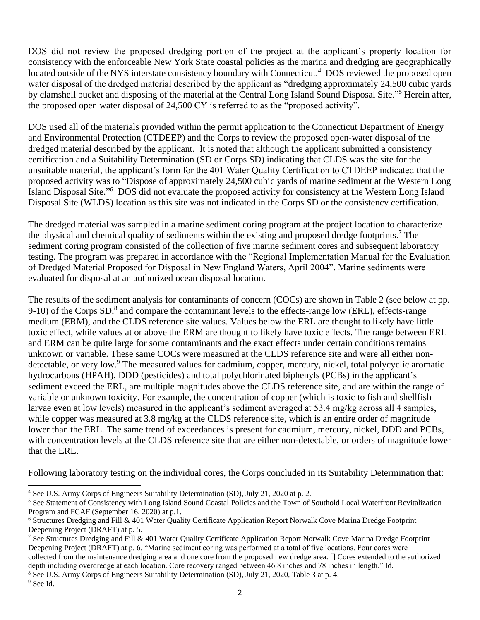DOS did not review the proposed dredging portion of the project at the applicant's property location for consistency with the enforceable New York State coastal policies as the marina and dredging are geographically located outside of the NYS interstate consistency boundary with Connecticut.<sup>4</sup> DOS reviewed the proposed open water disposal of the dredged material described by the applicant as "dredging approximately 24,500 cubic yards by clamshell bucket and disposing of the material at the Central Long Island Sound Disposal Site."<sup>5</sup> Herein after, the proposed open water disposal of 24,500 CY is referred to as the "proposed activity".

DOS used all of the materials provided within the permit application to the Connecticut Department of Energy and Environmental Protection (CTDEEP) and the Corps to review the proposed open-water disposal of the dredged material described by the applicant. It is noted that although the applicant submitted a consistency certification and a Suitability Determination (SD or Corps SD) indicating that CLDS was the site for the unsuitable material, the applicant's form for the 401 Water Quality Certification to CTDEEP indicated that the proposed activity was to "Dispose of approximately 24,500 cubic yards of marine sediment at the Western Long Island Disposal Site."<sup>6</sup> DOS did not evaluate the proposed activity for consistency at the Western Long Island Disposal Site (WLDS) location as this site was not indicated in the Corps SD or the consistency certification.

The dredged material was sampled in a marine sediment coring program at the project location to characterize the physical and chemical quality of sediments within the existing and proposed dredge footprints.<sup>7</sup> The sediment coring program consisted of the collection of five marine sediment cores and subsequent laboratory testing. The program was prepared in accordance with the "Regional Implementation Manual for the Evaluation of Dredged Material Proposed for Disposal in New England Waters, April 2004". Marine sediments were evaluated for disposal at an authorized ocean disposal location.

The results of the sediment analysis for contaminants of concern (COCs) are shown in Table 2 (see below at pp. 9-10) of the Corps  $SD$ ,<sup>8</sup> and compare the contaminant levels to the effects-range low (ERL), effects-range medium (ERM), and the CLDS reference site values. Values below the ERL are thought to likely have little toxic effect, while values at or above the ERM are thought to likely have toxic effects. The range between ERL and ERM can be quite large for some contaminants and the exact effects under certain conditions remains unknown or variable. These same COCs were measured at the CLDS reference site and were all either nondetectable, or very low.<sup>9</sup> The measured values for cadmium, copper, mercury, nickel, total polycyclic aromatic hydrocarbons (HPAH), DDD (pesticides) and total polychlorinated biphenyls (PCBs) in the applicant's sediment exceed the ERL, are multiple magnitudes above the CLDS reference site, and are within the range of variable or unknown toxicity. For example, the concentration of copper (which is toxic to fish and shellfish larvae even at low levels) measured in the applicant's sediment averaged at 53.4 mg/kg across all 4 samples, while copper was measured at 3.8 mg/kg at the CLDS reference site, which is an entire order of magnitude lower than the ERL. The same trend of exceedances is present for cadmium, mercury, nickel, DDD and PCBs, with concentration levels at the CLDS reference site that are either non-detectable, or orders of magnitude lower that the ERL.

Following laboratory testing on the individual cores, the Corps concluded in its Suitability Determination that:

<sup>4</sup> See U.S. Army Corps of Engineers Suitability Determination (SD), July 21, 2020 at p. 2.

<sup>&</sup>lt;sup>5</sup> See Statement of Consistency with Long Island Sound Coastal Policies and the Town of Southold Local Waterfront Revitalization Program and FCAF (September 16, 2020) at p.1.

<sup>&</sup>lt;sup>6</sup> Structures Dredging and Fill & 401 Water Quality Certificate Application Report Norwalk Cove Marina Dredge Footprint Deepening Project (DRAFT) at p. 5.

<sup>&</sup>lt;sup>7</sup> See Structures Dredging and Fill & 401 Water Quality Certificate Application Report Norwalk Cove Marina Dredge Footprint Deepening Project (DRAFT) at p. 6. "Marine sediment coring was performed at a total of five locations. Four cores were collected from the maintenance dredging area and one core from the proposed new dredge area. [] Cores extended to the authorized depth including overdredge at each location. Core recovery ranged between 46.8 inches and 78 inches in length." Id.

<sup>8</sup> See U.S. Army Corps of Engineers Suitability Determination (SD), July 21, 2020, Table 3 at p. 4.

<sup>9</sup> See Id.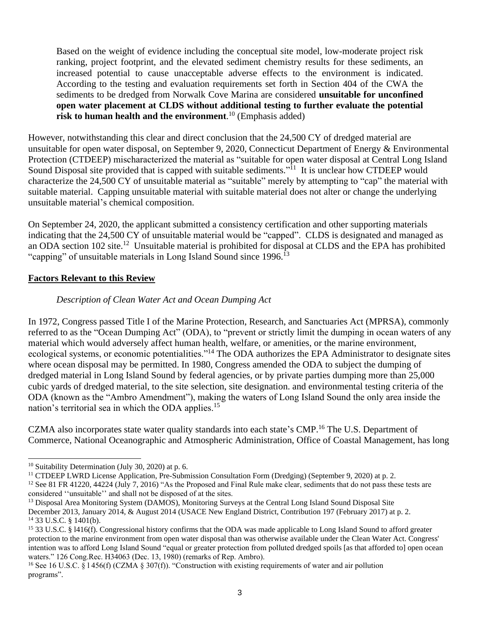Based on the weight of evidence including the conceptual site model, low-moderate project risk ranking, project footprint, and the elevated sediment chemistry results for these sediments, an increased potential to cause unacceptable adverse effects to the environment is indicated. According to the testing and evaluation requirements set forth in Section 404 of the CWA the sediments to be dredged from Norwalk Cove Marina are considered **unsuitable for unconfined open water placement at CLDS without additional testing to further evaluate the potential risk to human health and the environment**. <sup>10</sup> (Emphasis added)

However, notwithstanding this clear and direct conclusion that the 24,500 CY of dredged material are unsuitable for open water disposal, on September 9, 2020, Connecticut Department of Energy & Environmental Protection (CTDEEP) mischaracterized the material as "suitable for open water disposal at Central Long Island Sound Disposal site provided that is capped with suitable sediments."<sup>11</sup> It is unclear how CTDEEP would characterize the 24,500 CY of unsuitable material as "suitable" merely by attempting to "cap" the material with suitable material. Capping unsuitable material with suitable material does not alter or change the underlying unsuitable material's chemical composition.

On September 24, 2020, the applicant submitted a consistency certification and other supporting materials indicating that the 24,500 CY of unsuitable material would be "capped". CLDS is designated and managed as an ODA section 102 site.<sup>12</sup> Unsuitable material is prohibited for disposal at CLDS and the EPA has prohibited "capping" of unsuitable materials in Long Island Sound since  $1996$ <sup>[3]</sup>

# **Factors Relevant to this Review**

# *Description of Clean Water Act and Ocean Dumping Act*

In 1972, Congress passed Title I of the Marine Protection, Research, and Sanctuaries Act (MPRSA), commonly referred to as the "Ocean Dumping Act" (ODA), to "prevent or strictly limit the dumping in ocean waters of any material which would adversely affect human health, welfare, or amenities, or the marine environment, ecological systems, or economic potentialities."<sup>14</sup> The ODA authorizes the EPA Administrator to designate sites where ocean disposal may be permitted. In 1980, Congress amended the ODA to subject the dumping of dredged material in Long Island Sound by federal agencies, or by private parties dumping more than 25,000 cubic yards of dredged material, to the site selection, site designation. and environmental testing criteria of the ODA (known as the "Ambro Amendment"), making the waters of Long Island Sound the only area inside the nation's territorial sea in which the ODA applies.<sup>15</sup>

CZMA also incorporates state water quality standards into each state's CMP.<sup>16</sup> The U.S. Department of Commerce, National Oceanographic and Atmospheric Administration, Office of Coastal Management, has long

<sup>11</sup> CTDEEP LWRD License Application, Pre-Submission Consultation Form (Dredging) (September 9, 2020) at p. 2.

 $10$  Suitability Determination (July 30, 2020) at p. 6.

<sup>&</sup>lt;sup>12</sup> See 81 FR 41220, 44224 (July 7, 2016) "As the Proposed and Final Rule make clear, sediments that do not pass these tests are considered ''unsuitable'' and shall not be disposed of at the sites.

<sup>&</sup>lt;sup>13</sup> Disposal Area Monitoring System (DAMOS), Monitoring Surveys at the Central Long Island Sound Disposal Site December 2013, January 2014, & August 2014 (USACE New England District, Contribution 197 (February 2017) at p. 2. <sup>14</sup> 33 U.S.C. § 1401(b).

<sup>15</sup> 33 U.S.C. § l416(f). Congressional history confirms that the ODA was made applicable to Long Island Sound to afford greater protection to the marine environment from open water disposal than was otherwise available under the Clean Water Act. Congress' intention was to afford Long Island Sound "equal or greater protection from polluted dredged spoils [as that afforded to] open ocean waters." 126 Cong.Rec. H34063 (Dec. 13, 1980) (remarks of Rep. Ambro).

<sup>&</sup>lt;sup>16</sup> See 16 U.S.C. § 1456(f) (CZMA § 307(f)). "Construction with existing requirements of water and air pollution programs".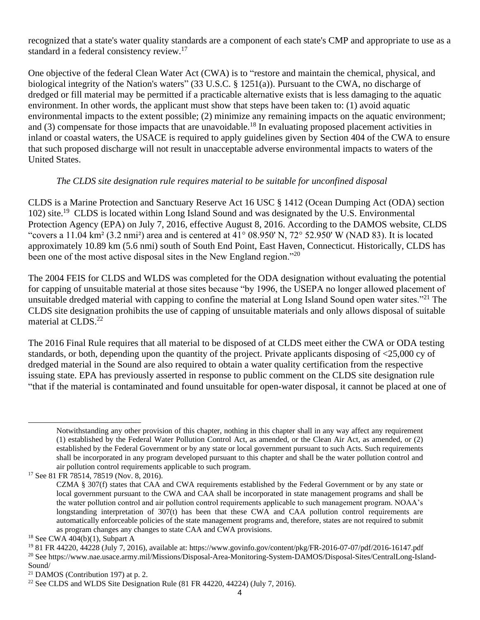recognized that a state's water quality standards are a component of each state's CMP and appropriate to use as a standard in a federal consistency review.<sup>17</sup>

One objective of the federal Clean Water Act (CWA) is to "restore and maintain the chemical, physical, and biological integrity of the Nation's waters" (33 U.S.C. § 1251(a)). Pursuant to the CWA, no discharge of dredged or fill material may be permitted if a practicable alternative exists that is less damaging to the aquatic environment. In other words, the applicant must show that steps have been taken to: (1) avoid aquatic environmental impacts to the extent possible; (2) minimize any remaining impacts on the aquatic environment; and (3) compensate for those impacts that are unavoidable.<sup>18</sup> In evaluating proposed placement activities in inland or coastal waters, the USACE is required to apply guidelines given by Section 404 of the CWA to ensure that such proposed discharge will not result in unacceptable adverse environmental impacts to waters of the United States.

## *The CLDS site designation rule requires material to be suitable for unconfined disposal*

CLDS is a Marine Protection and Sanctuary Reserve Act 16 USC § 1412 (Ocean Dumping Act (ODA) section 102) site. 19 CLDS is located within Long Island Sound and was designated by the U.S. Environmental Protection Agency (EPA) on July 7, 2016, effective August 8, 2016. According to the DAMOS website, CLDS "covers a 11.04 km<sup>2</sup> (3.2 nmi<sup>2</sup>) area and is centered at 41° 08.950' N, 72° 52.950' W (NAD 83). It is located approximately 10.89 km (5.6 nmi) south of South End Point, East Haven, Connecticut. Historically, CLDS has been one of the most active disposal sites in the New England region."<sup>20</sup>

The 2004 FEIS for CLDS and WLDS was completed for the ODA designation without evaluating the potential for capping of unsuitable material at those sites because "by 1996, the USEPA no longer allowed placement of unsuitable dredged material with capping to confine the material at Long Island Sound open water sites."<sup>21</sup> The CLDS site designation prohibits the use of capping of unsuitable materials and only allows disposal of suitable material at CLDS.<sup>22</sup>

The 2016 Final Rule requires that all material to be disposed of at CLDS meet either the CWA or ODA testing standards, or both, depending upon the quantity of the project. Private applicants disposing of <25,000 cy of dredged material in the Sound are also required to obtain a water quality certification from the respective issuing state. EPA has previously asserted in response to public comment on the CLDS site designation rule "that if the material is contaminated and found unsuitable for open-water disposal, it cannot be placed at one of

<sup>17</sup> See 81 FR 78514, 78519 (Nov. 8, 2016).

Notwithstanding any other provision of this chapter, nothing in this chapter shall in any way affect any requirement (1) established by the Federal Water Pollution Control Act, as amended, or the Clean Air Act, as amended, or (2) established by the Federal Government or by any state or local government pursuant to such Acts. Such requirements shall be incorporated in any program developed pursuant to this chapter and shall be the water pollution control and air pollution control requirements applicable to such program.

CZMA § 307(f) states that CAA and CWA requirements established by the Federal Government or by any state or local government pursuant to the CWA and CAA shall be incorporated in state management programs and shall be the water pollution control and air pollution control requirements applicable to such management program. NOAA's longstanding interpretation of 307(t) has been that these CWA and CAA pollution control requirements are automatically enforceable policies of the state management programs and, therefore, states are not required to submit as program changes any changes to state CAA and CWA provisions.

 $18$  See CWA 404(b)(1), Subpart A

<sup>19</sup> 81 FR 44220, 44228 (July 7, 2016), available at: https://www.govinfo.gov/content/pkg/FR-2016-07-07/pdf/2016-16147.pdf <sup>20</sup> See https://www.nae.usace.army.mil/Missions/Disposal-Area-Monitoring-System-DAMOS/Disposal-Sites/CentralLong-Island-Sound/

 $21$  DAMOS (Contribution 197) at p. 2.

<sup>&</sup>lt;sup>22</sup> See CLDS and WLDS Site Designation Rule  $(81 FR 44220, 44224)$  (July 7, 2016).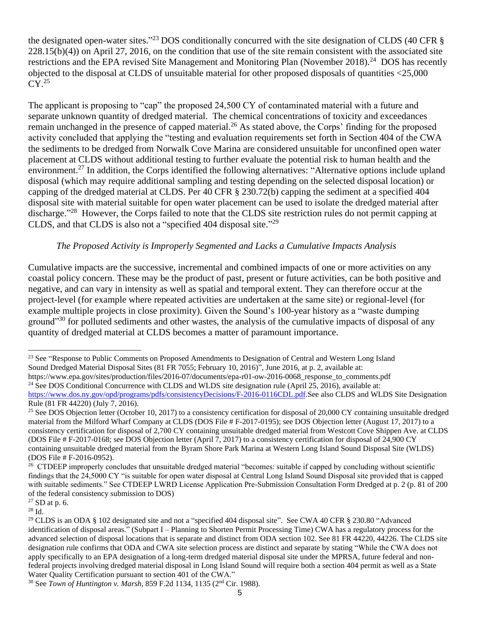the designated open-water sites."<sup>23</sup> DOS conditionally concurred with the site designation of CLDS (40 CFR § 228.15(b)(4)) on April 27, 2016, on the condition that use of the site remain consistent with the associated site restrictions and the EPA revised Site Management and Monitoring Plan (November 2018).<sup>24</sup> DOS has recently objected to the disposal at CLDS of unsuitable material for other proposed disposals of quantities <25,000  $CY.<sup>25</sup>$ 

The applicant is proposing to "cap" the proposed 24,500 CY of contaminated material with a future and separate unknown quantity of dredged material. The chemical concentrations of toxicity and exceedances remain unchanged in the presence of capped material.<sup>26</sup> As stated above, the Corps' finding for the proposed activity concluded that applying the "testing and evaluation requirements set forth in Section 404 of the CWA the sediments to be dredged from Norwalk Cove Marina are considered unsuitable for unconfined open water placement at CLDS without additional testing to further evaluate the potential risk to human health and the environment.<sup>27</sup> In addition, the Corps identified the following alternatives: "Alternative options include upland disposal (which may require additional sampling and testing depending on the selected disposal location) or capping of the dredged material at CLDS. Per 40 CFR § 230.72(b) capping the sediment at a specified 404 disposal site with material suitable for open water placement can be used to isolate the dredged material after discharge."<sup>28</sup> However, the Corps failed to note that the CLDS site restriction rules do not permit capping at CLDS, and that CLDS is also not a "specified 404 disposal site."<sup>29</sup>

# *The Proposed Activity is Improperly Segmented and Lacks a Cumulative Impacts Analysis*

Cumulative impacts are the successive, incremental and combined impacts of one or more activities on any coastal policy concern. These may be the product of past, present or future activities, can be both positive and negative, and can vary in intensity as well as spatial and temporal extent. They can therefore occur at the project-level (for example where repeated activities are undertaken at the same site) or regional-level (for example multiple projects in close proximity). Given the Sound's 100-year history as a "waste dumping ground<sup>"30</sup> for polluted sediments and other wastes, the analysis of the cumulative impacts of disposal of any quantity of dredged material at CLDS becomes a matter of paramount importance.

<sup>&</sup>lt;sup>23</sup> See "Response to Public Comments on Proposed Amendments to Designation of Central and Western Long Island Sound Dredged Material Disposal Sites (81 FR 7055; February 10, 2016)", June 2016, at p. 2, available at: https://www.epa.gov/sites/production/files/2016-07/documents/epa-r01-ow-2016-0068 response to comments.pdf <sup>24</sup> See DOS Conditional Concurrence with CLDS and WLDS site designation rule (April 25, 2016), available at: [https://www.dos.ny.gov/opd/programs/pdfs/consistencyDecisions/F-2016-0116CDL.pdf.](https://www.dos.ny.gov/opd/programs/pdfs/consistencyDecisions/F-2016-0116CDL.pdf)See also CLDS and WLDS Site Designation Rule (81 FR 44220) (July 7, 2016).

<sup>&</sup>lt;sup>25</sup> See DOS Objection letter (October 10, 2017) to a consistency certification for disposal of 20,000 CY containing unsuitable dredged material from the Milford Wharf Company at CLDS (DOS File # F-2017-0195); see DOS Objection letter (August 17, 2017) to a consistency certification for disposal of 2,700 CY containing unsuitable dredged material from Westcott Cove Shippen Ave. at CLDS (DOS File # F-2017-0168; see DOS Objection letter (April 7, 2017) to a consistency certification for disposal of 24,900 CY containing unsuitable dredged material from the Byram Shore Park Marina at Western Long Island Sound Disposal Site (WLDS) (DOS File # F-2016-0952).

<sup>&</sup>lt;sup>26</sup> CTDEEP improperly concludes that unsuitable dredged material "becomes: suitable if capped by concluding without scientific findings that the 24,5000 CY "is suitable for open water disposal at Central Long Island Sound Disposal site provided that is capped with suitable sediments." See CTDEEP LWRD License Application Pre-Submission Consultation Form Dredged at p. 2 (p. 81 of 200 of the federal consistency submission to DOS)

 $27$  SD at p. 6.

<sup>28</sup> Id.

<sup>29</sup> CLDS is an ODA § 102 designated site and not a "specified 404 disposal site". See CWA 40 CFR § 230.80 "Advanced identification of disposal areas." (Subpart I – Planning to Shorten Permit Processing Time) CWA has a regulatory process for the advanced selection of disposal locations that is separate and distinct from ODA section 102. See 81 FR 44220, 44226. The CLDS site designation rule confirms that ODA and CWA site selection process are distinct and separate by stating "While the CWA does not apply specifically to an EPA designation of a long-term dredged material disposal site under the MPRSA, future federal and nonfederal projects involving dredged material disposal in Long Island Sound will require both a section 404 permit as well as a State Water Quality Certification pursuant to section 401 of the CWA."

<sup>30</sup> See *Town of Huntington v. Marsh*, 859 F.2d 1134, 1135 (2nd Cir. 1988).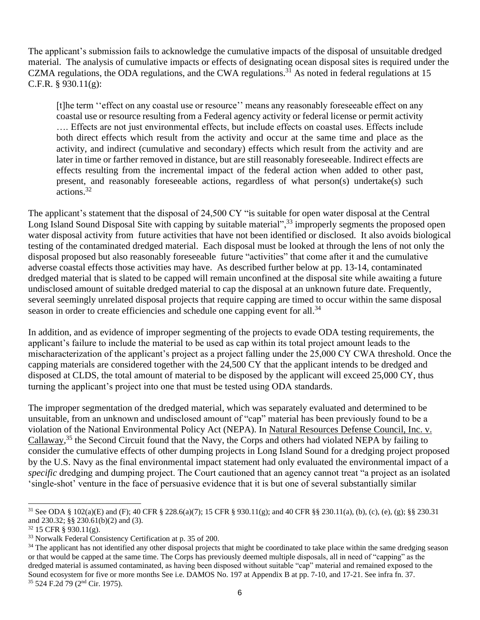The applicant's submission fails to acknowledge the cumulative impacts of the disposal of unsuitable dredged material. The analysis of cumulative impacts or effects of designating ocean disposal sites is required under the CZMA regulations, the ODA regulations, and the CWA regulations.<sup>31</sup> As noted in federal regulations at 15 C.F.R. § 930.11(g):

[t]he term ''effect on any coastal use or resource'' means any reasonably foreseeable effect on any coastal use or resource resulting from a Federal agency activity or federal license or permit activity …. Effects are not just environmental effects, but include effects on coastal uses. Effects include both direct effects which result from the activity and occur at the same time and place as the activity, and indirect (cumulative and secondary) effects which result from the activity and are later in time or farther removed in distance, but are still reasonably foreseeable. Indirect effects are effects resulting from the incremental impact of the federal action when added to other past, present, and reasonably foreseeable actions, regardless of what person(s) undertake(s) such actions.<sup>32</sup>

The applicant's statement that the disposal of 24,500 CY "is suitable for open water disposal at the Central Long Island Sound Disposal Site with capping by suitable material",<sup>33</sup> improperly segments the proposed open water disposal activity from future activities that have not been identified or disclosed. It also avoids biological testing of the contaminated dredged material. Each disposal must be looked at through the lens of not only the disposal proposed but also reasonably foreseeable future "activities" that come after it and the cumulative adverse coastal effects those activities may have. As described further below at pp. 13-14, contaminated dredged material that is slated to be capped will remain unconfined at the disposal site while awaiting a future undisclosed amount of suitable dredged material to cap the disposal at an unknown future date. Frequently, several seemingly unrelated disposal projects that require capping are timed to occur within the same disposal season in order to create efficiencies and schedule one capping event for all.<sup>34</sup>

In addition, and as evidence of improper segmenting of the projects to evade ODA testing requirements, the applicant's failure to include the material to be used as cap within its total project amount leads to the mischaracterization of the applicant's project as a project falling under the 25,000 CY CWA threshold. Once the capping materials are considered together with the 24,500 CY that the applicant intends to be dredged and disposed at CLDS, the total amount of material to be disposed by the applicant will exceed 25,000 CY, thus turning the applicant's project into one that must be tested using ODA standards.

The improper segmentation of the dredged material, which was separately evaluated and determined to be unsuitable, from an unknown and undisclosed amount of "cap" material has been previously found to be a violation of the National Environmental Policy Act (NEPA). In Natural Resources Defense Council, Inc. v. Callaway,<sup>35</sup> the Second Circuit found that the Navy, the Corps and others had violated NEPA by failing to consider the cumulative effects of other dumping projects in Long Island Sound for a dredging project proposed by the U.S. Navy as the final environmental impact statement had only evaluated the environmental impact of a *specific* dredging and dumping project. The Court cautioned that an agency cannot treat "a project as an isolated 'single-shot' venture in the face of persuasive evidence that it is but one of several substantially similar

<sup>31</sup> See ODA § 102(a)(E) and (F); 40 CFR § 228.6(a)(7); 15 CFR § 930.11(g); and 40 CFR §§ 230.11(a), (b), (c), (e), (g); §§ 230.31 and 230.32; §§ 230.61(b)(2) and (3).

<sup>32</sup> 15 CFR § 930.11(g).

<sup>&</sup>lt;sup>33</sup> Norwalk Federal Consistency Certification at p. 35 of 200.

<sup>&</sup>lt;sup>34</sup> The applicant has not identified any other disposal projects that might be coordinated to take place within the same dredging season or that would be capped at the same time. The Corps has previously deemed multiple disposals, all in need of "capping" as the dredged material is assumed contaminated, as having been disposed without suitable "cap" material and remained exposed to the Sound ecosystem for five or more months See i.e. DAMOS No. 197 at Appendix B at pp. 7-10, and 17-21. See infra fn. 37. <sup>35</sup> 524 F.2d 79 (2nd Cir. 1975).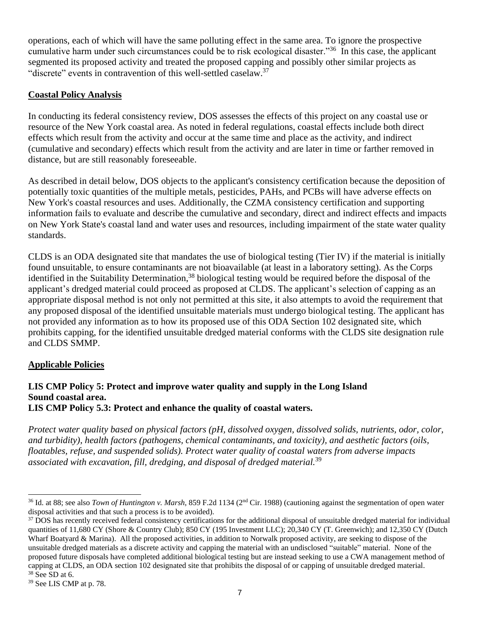operations, each of which will have the same polluting effect in the same area. To ignore the prospective cumulative harm under such circumstances could be to risk ecological disaster."<sup>36</sup> In this case, the applicant segmented its proposed activity and treated the proposed capping and possibly other similar projects as "discrete" events in contravention of this well-settled caselaw.<sup>37</sup>

## **Coastal Policy Analysis**

In conducting its federal consistency review, DOS assesses the effects of this project on any coastal use or resource of the New York coastal area. As noted in federal regulations, coastal effects include both direct effects which result from the activity and occur at the same time and place as the activity, and indirect (cumulative and secondary) effects which result from the activity and are later in time or farther removed in distance, but are still reasonably foreseeable.

As described in detail below, DOS objects to the applicant's consistency certification because the deposition of potentially toxic quantities of the multiple metals, pesticides, PAHs, and PCBs will have adverse effects on New York's coastal resources and uses. Additionally, the CZMA consistency certification and supporting information fails to evaluate and describe the cumulative and secondary, direct and indirect effects and impacts on New York State's coastal land and water uses and resources, including impairment of the state water quality standards.

CLDS is an ODA designated site that mandates the use of biological testing (Tier IV) if the material is initially found unsuitable, to ensure contaminants are not bioavailable (at least in a laboratory setting). As the Corps identified in the Suitability Determination, <sup>38</sup> biological testing would be required before the disposal of the applicant's dredged material could proceed as proposed at CLDS. The applicant's selection of capping as an appropriate disposal method is not only not permitted at this site, it also attempts to avoid the requirement that any proposed disposal of the identified unsuitable materials must undergo biological testing. The applicant has not provided any information as to how its proposed use of this ODA Section 102 designated site, which prohibits capping, for the identified unsuitable dredged material conforms with the CLDS site designation rule and CLDS SMMP.

## **Applicable Policies**

### **LIS CMP Policy 5: Protect and improve water quality and supply in the Long Island Sound coastal area. LIS CMP Policy 5.3: Protect and enhance the quality of coastal waters.**

*Protect water quality based on physical factors (pH, dissolved oxygen, dissolved solids, nutrients, odor, color, and turbidity), health factors (pathogens, chemical contaminants, and toxicity), and aesthetic factors (oils, floatables, refuse, and suspended solids). Protect water quality of coastal waters from adverse impacts associated with excavation, fill, dredging, and disposal of dredged material.*<sup>39</sup>

<sup>&</sup>lt;sup>36</sup> Id. at 88; see also *Town of Huntington v. Marsh*, 859 F.2d 1134 (2<sup>nd</sup> Cir. 1988) (cautioning against the segmentation of open water disposal activities and that such a process is to be avoided).

<sup>&</sup>lt;sup>37</sup> DOS has recently received federal consistency certifications for the additional disposal of unsuitable dredged material for individual quantities of 11,680 CY (Shore & Country Club); 850 CY (195 Investment LLC); 20,340 CY (T. Greenwich); and 12,350 CY (Dutch Wharf Boatyard & Marina). All the proposed activities, in addition to Norwalk proposed activity, are seeking to dispose of the unsuitable dredged materials as a discrete activity and capping the material with an undisclosed "suitable" material. None of the proposed future disposals have completed additional biological testing but are instead seeking to use a CWA management method of capping at CLDS, an ODA section 102 designated site that prohibits the disposal of or capping of unsuitable dredged material.  $38$  See SD at 6.

<sup>39</sup> See LIS CMP at p. 78.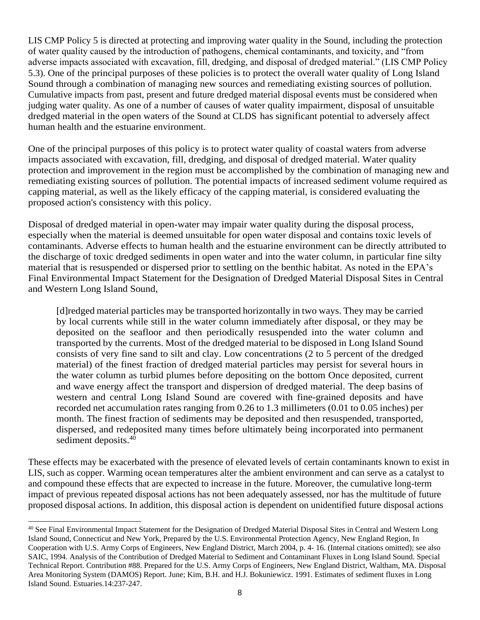LIS CMP Policy 5 is directed at protecting and improving water quality in the Sound, including the protection of water quality caused by the introduction of pathogens, chemical contaminants, and toxicity, and "from adverse impacts associated with excavation, fill, dredging, and disposal of dredged material." (LIS CMP Policy 5.3). One of the principal purposes of these policies is to protect the overall water quality of Long Island Sound through a combination of managing new sources and remediating existing sources of pollution. Cumulative impacts from past, present and future dredged material disposal events must be considered when judging water quality. As one of a number of causes of water quality impairment, disposal of unsuitable dredged material in the open waters of the Sound at CLDS has significant potential to adversely affect human health and the estuarine environment.

One of the principal purposes of this policy is to protect water quality of coastal waters from adverse impacts associated with excavation, fill, dredging, and disposal of dredged material. Water quality protection and improvement in the region must be accomplished by the combination of managing new and remediating existing sources of pollution. The potential impacts of increased sediment volume required as capping material, as well as the likely efficacy of the capping material, is considered evaluating the proposed action's consistency with this policy.

Disposal of dredged material in open-water may impair water quality during the disposal process, especially when the material is deemed unsuitable for open water disposal and contains toxic levels of contaminants. Adverse effects to human health and the estuarine environment can be directly attributed to the discharge of toxic dredged sediments in open water and into the water column, in particular fine silty material that is resuspended or dispersed prior to settling on the benthic habitat. As noted in the EPA's Final Environmental Impact Statement for the Designation of Dredged Material Disposal Sites in Central and Western Long Island Sound,

[d]redged material particles may be transported horizontally in two ways. They may be carried by local currents while still in the water column immediately after disposal, or they may be deposited on the seafloor and then periodically resuspended into the water column and transported by the currents. Most of the dredged material to be disposed in Long Island Sound consists of very fine sand to silt and clay. Low concentrations (2 to 5 percent of the dredged material) of the finest fraction of dredged material particles may persist for several hours in the water column as turbid plumes before depositing on the bottom Once deposited, current and wave energy affect the transport and dispersion of dredged material. The deep basins of western and central Long Island Sound are covered with fine-grained deposits and have recorded net accumulation rates ranging from 0.26 to 1.3 millimeters (0.01 to 0.05 inches) per month. The finest fraction of sediments may be deposited and then resuspended, transported, dispersed, and redeposited many times before ultimately being incorporated into permanent sediment deposits.<sup>40</sup>

These effects may be exacerbated with the presence of elevated levels of certain contaminants known to exist in LIS, such as copper. Warming ocean temperatures alter the ambient environment and can serve as a catalyst to and compound these effects that are expected to increase in the future. Moreover, the cumulative long-term impact of previous repeated disposal actions has not been adequately assessed, nor has the multitude of future proposed disposal actions. In addition, this disposal action is dependent on unidentified future disposal actions

<sup>&</sup>lt;sup>40</sup> See Final Environmental Impact Statement for the Designation of Dredged Material Disposal Sites in Central and Western Long Island Sound, Connecticut and New York, Prepared by the U.S. Environmental Protection Agency, New England Region, In Cooperation with U.S. Army Corps of Engineers, New England District, March 2004, p. 4- 16. (Internal citations omitted); see also SAIC, 1994. Analysis of the Contribution of Dredged Material to Sediment and Contaminant Fluxes in Long Island Sound. Special Technical Report. Contribution #88. Prepared for the U.S. Army Corps of Engineers, New England District, Waltham, MA. Disposal Area Monitoring System (DAMOS) Report. June; Kim, B.H. and H.J. Bokuniewicz. 1991. Estimates of sediment fluxes in Long Island Sound. Estuaries.14:237-247.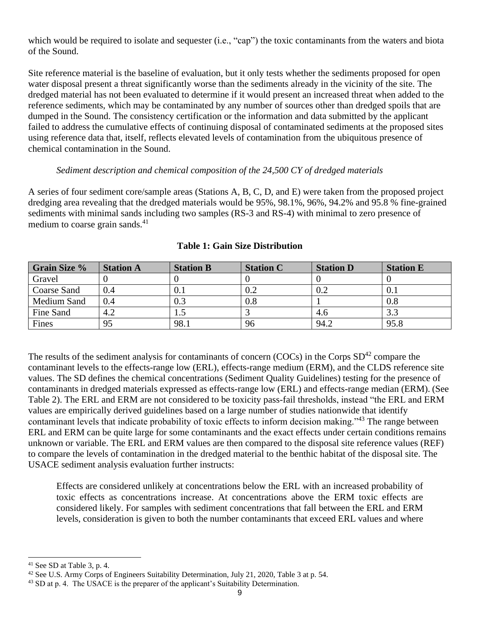which would be required to isolate and sequester (i.e., "cap") the toxic contaminants from the waters and biota of the Sound.

Site reference material is the baseline of evaluation, but it only tests whether the sediments proposed for open water disposal present a threat significantly worse than the sediments already in the vicinity of the site. The dredged material has not been evaluated to determine if it would present an increased threat when added to the reference sediments, which may be contaminated by any number of sources other than dredged spoils that are dumped in the Sound. The consistency certification or the information and data submitted by the applicant failed to address the cumulative effects of continuing disposal of contaminated sediments at the proposed sites using reference data that, itself, reflects elevated levels of contamination from the ubiquitous presence of chemical contamination in the Sound.

#### *Sediment description and chemical composition of the 24,500 CY of dredged materials*

A series of four sediment core/sample areas (Stations A, B, C, D, and E) were taken from the proposed project dredging area revealing that the dredged materials would be 95%, 98.1%, 96%, 94.2% and 95.8 % fine-grained sediments with minimal sands including two samples (RS-3 and RS-4) with minimal to zero presence of medium to coarse grain sands.<sup>41</sup>

| <b>Grain Size %</b> | <b>Station A</b> | <b>Station B</b> | <b>Station C</b> | <b>Station D</b> | <b>Station E</b> |
|---------------------|------------------|------------------|------------------|------------------|------------------|
| Gravel              |                  |                  |                  |                  |                  |
| Coarse Sand         | 0.4              | 0.1              |                  | 0.2              | 0.1              |
| Medium Sand         | 0.4              | 0.3              | 0.8              |                  | 0.8              |
| Fine Sand           | 4.2              | 1.J              |                  | 4.6              | 3.3              |
| Fines               | 95               | 98.1             | 96               | 94.2             | 95.8             |

### **Table 1: Gain Size Distribution**

The results of the sediment analysis for contaminants of concern (COCs) in the Corps  $SD^{42}$  compare the contaminant levels to the effects-range low (ERL), effects-range medium (ERM), and the CLDS reference site values. The SD defines the chemical concentrations (Sediment Quality Guidelines) testing for the presence of contaminants in dredged materials expressed as effects-range low (ERL) and effects-range median (ERM). (See Table 2). The ERL and ERM are not considered to be toxicity pass-fail thresholds, instead "the ERL and ERM values are empirically derived guidelines based on a large number of studies nationwide that identify contaminant levels that indicate probability of toxic effects to inform decision making."<sup>43</sup> The range between ERL and ERM can be quite large for some contaminants and the exact effects under certain conditions remains unknown or variable. The ERL and ERM values are then compared to the disposal site reference values (REF) to compare the levels of contamination in the dredged material to the benthic habitat of the disposal site. The USACE sediment analysis evaluation further instructs:

Effects are considered unlikely at concentrations below the ERL with an increased probability of toxic effects as concentrations increase. At concentrations above the ERM toxic effects are considered likely. For samples with sediment concentrations that fall between the ERL and ERM levels, consideration is given to both the number contaminants that exceed ERL values and where

 $41$  See SD at Table 3, p. 4.

<sup>&</sup>lt;sup>42</sup> See U.S. Army Corps of Engineers Suitability Determination, July 21, 2020, Table 3 at p. 54.

<sup>&</sup>lt;sup>43</sup> SD at p. 4. The USACE is the preparer of the applicant's Suitability Determination.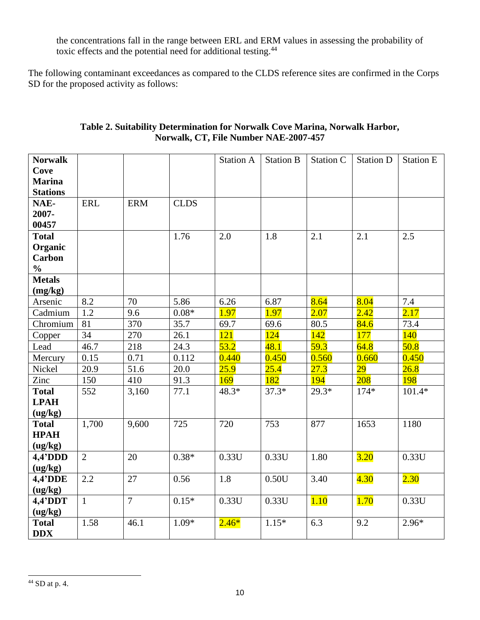the concentrations fall in the range between ERL and ERM values in assessing the probability of toxic effects and the potential need for additional testing.<sup>44</sup>

The following contaminant exceedances as compared to the CLDS reference sites are confirmed in the Corps SD for the proposed activity as follows:

| <b>Norwalk</b>  |                |                |             | <b>Station A</b> | <b>Station B</b> | <b>Station C</b> | <b>Station D</b> | <b>Station E</b> |
|-----------------|----------------|----------------|-------------|------------------|------------------|------------------|------------------|------------------|
| Cove            |                |                |             |                  |                  |                  |                  |                  |
| <b>Marina</b>   |                |                |             |                  |                  |                  |                  |                  |
| <b>Stations</b> |                |                |             |                  |                  |                  |                  |                  |
| NAE-            | <b>ERL</b>     | <b>ERM</b>     | <b>CLDS</b> |                  |                  |                  |                  |                  |
| 2007-           |                |                |             |                  |                  |                  |                  |                  |
| 00457           |                |                |             |                  |                  |                  |                  |                  |
| <b>Total</b>    |                |                | 1.76        | 2.0              | 1.8              | 2.1              | 2.1              | 2.5              |
| Organic         |                |                |             |                  |                  |                  |                  |                  |
| <b>Carbon</b>   |                |                |             |                  |                  |                  |                  |                  |
| $\frac{0}{0}$   |                |                |             |                  |                  |                  |                  |                  |
| <b>Metals</b>   |                |                |             |                  |                  |                  |                  |                  |
| (mg/kg)         |                |                |             |                  |                  |                  |                  |                  |
| Arsenic         | 8.2            | 70             | 5.86        | 6.26             | 6.87             | 8.64             | 8.04             | 7.4              |
| Cadmium         | 1.2            | 9.6            | $0.08*$     | 1.97             | 1.97             | 2.07             | 2.42             | 2.17             |
| Chromium        | 81             | 370            | 35.7        | 69.7             | 69.6             | 80.5             | 84.6             | 73.4             |
| Copper          | 34             | 270            | 26.1        | 121              | 124              | 142              | 177              | 140              |
| Lead            | 46.7           | 218            | 24.3        | 53.2             | 48.1             | 59.3             | 64.8             | 50.8             |
| Mercury         | 0.15           | 0.71           | 0.112       | 0.440            | 0.450            | 0.560            | 0.660            | 0.450            |
| Nickel          | 20.9           | 51.6           | 20.0        | 25.9             | 25.4             | 27.3             | 29               | 26.8             |
| Zinc            | 150            | 410            | 91.3        | 169              | 182              | 194              | 208              | <b>198</b>       |
| <b>Total</b>    | 552            | 3,160          | 77.1        | 48.3*            | $37.3*$          | $29.3*$          | $174*$           | $101.4*$         |
| <b>LPAH</b>     |                |                |             |                  |                  |                  |                  |                  |
| (ug/kg)         |                |                |             |                  |                  |                  |                  |                  |
| <b>Total</b>    | 1,700          | 9,600          | 725         | 720              | 753              | 877              | 1653             | 1180             |
| <b>HPAH</b>     |                |                |             |                  |                  |                  |                  |                  |
| (ug/kg)         |                |                |             |                  |                  |                  |                  |                  |
| $4,4'$ DDD      | $\overline{2}$ | 20             | $0.38*$     | 0.33U            | 0.33U            | 1.80             | 3.20             | 0.33U            |
| (ug/kg)         |                |                |             |                  |                  |                  |                  |                  |
| 4,4'DDE         | 2.2            | 27             | 0.56        | 1.8              | 0.50U            | 3.40             | 4.30             | 2.30             |
| (ug/kg)         |                |                |             |                  |                  |                  |                  |                  |
| $4,4'$ DDT      | $\mathbf{1}$   | $\overline{7}$ | $0.15*$     | 0.33U            | 0.33U            | 1.10             | 1.70             | 0.33U            |
| (ug/kg)         |                |                |             |                  |                  |                  |                  |                  |
| <b>Total</b>    | 1.58           | 46.1           | $1.09*$     | $2.46*$          | $1.15*$          | 6.3              | 9.2              | $2.96*$          |
| <b>DDX</b>      |                |                |             |                  |                  |                  |                  |                  |

### **Table 2. Suitability Determination for Norwalk Cove Marina, Norwalk Harbor, Norwalk, CT, File Number NAE-2007-457**

 $^{44}$  SD at p. 4.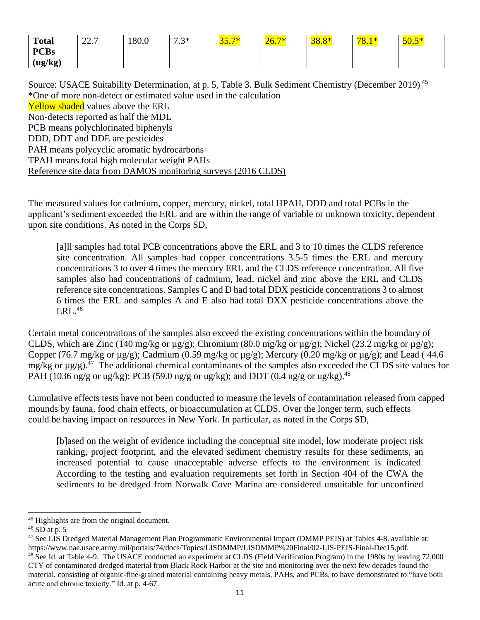| <b>Total</b>  | $\cap$ $\cap$<br>44. I | 180.0 | $7.3*$<br>. . ب | <b>The Company of the Company</b><br>JJ.I | 20.1 | <u> ၁၀.၀</u> | 78.1 | $\sqrt{2}$<br><u>50.5</u> |
|---------------|------------------------|-------|-----------------|-------------------------------------------|------|--------------|------|---------------------------|
| <b>PCBs</b>   |                        |       |                 |                                           |      |              |      |                           |
| (ug/kg)<br>▱. |                        |       |                 |                                           |      |              |      |                           |

Source: USACE Suitability Determination, at p. 5, Table 3. Bulk Sediment Chemistry (December 2019)<sup>45</sup> \*One of more non-detect or estimated value used in the calculation **Yellow shaded** values above the ERL Non-detects reported as half the MDL PCB means polychlorinated biphenyls DDD, DDT and DDE are pesticides PAH means polycyclic aromatic hydrocarbons TPAH means total high molecular weight PAHs Reference site data from DAMOS monitoring surveys (2016 CLDS)

The measured values for cadmium, copper, mercury, nickel, total HPAH, DDD and total PCBs in the applicant's sediment exceeded the ERL and are within the range of variable or unknown toxicity, dependent upon site conditions. As noted in the Corps SD,

[a]ll samples had total PCB concentrations above the ERL and 3 to 10 times the CLDS reference site concentration. All samples had copper concentrations 3.5-5 times the ERL and mercury concentrations 3 to over 4 times the mercury ERL and the CLDS reference concentration. All five samples also had concentrations of cadmium, lead, nickel and zinc above the ERL and CLDS reference site concentrations. Samples C and D had total DDX pesticide concentrations 3 to almost 6 times the ERL and samples A and E also had total DXX pesticide concentrations above the ERL. 46

Certain metal concentrations of the samples also exceed the existing concentrations within the boundary of CLDS, which are Zinc (140 mg/kg or µg/g); Chromium (80.0 mg/kg or µg/g); Nickel (23.2 mg/kg or µg/g); Copper (76.7 mg/kg or  $\mu$ g/g); Cadmium (0.59 mg/kg or  $\mu$ g/g); Mercury (0.20 mg/kg or  $\mu$ g/g); and Lead (44.6) mg/kg or  $\mu$ g/g).<sup>47</sup> The additional chemical contaminants of the samples also exceeded the CLDS site values for PAH (1036 ng/g or ug/kg); PCB (59.0 ng/g or ug/kg); and DDT (0.4 ng/g or ug/kg).<sup>48</sup>

Cumulative effects tests have not been conducted to measure the levels of contamination released from capped mounds by fauna, food chain effects, or bioaccumulation at CLDS. Over the longer term, such effects could be having impact on resources in New York. In particular, as noted in the Corps SD,

[b]ased on the weight of evidence including the conceptual site model, low moderate project risk ranking, project footprint, and the elevated sediment chemistry results for these sediments, an increased potential to cause unacceptable adverse effects to the environment is indicated. According to the testing and evaluation requirements set forth in Section 404 of the CWA the sediments to be dredged from Norwalk Cove Marina are considered unsuitable for unconfined

<sup>45</sup> Highlights are from the original document.

 $46$  SD at p. 5

<sup>&</sup>lt;sup>47</sup> See LIS Dredged Material Management Plan Programmatic Environmental Impact (DMMP PEIS) at Tables 4-8. available at: https://www.nae.usace.army.mil/portals/74/docs/Topics/LISDMMP/LISDMMP%20Final/02-LIS-PEIS-Final-Dec15.pdf. <sup>48</sup> See Id. at Table 4-9. The USACE conducted an experiment at CLDS (Field Verification Program) in the 1980s by leaving 72,000 CTY of contaminated dredged material from Black Rock Harbor at the site and monitoring over the next few decades found the material, consisting of organic-fine-grained material containing heavy metals, PAHs, and PCBs, to have demonstrated to "have both acute and chronic toxicity." Id. at p. 4-67.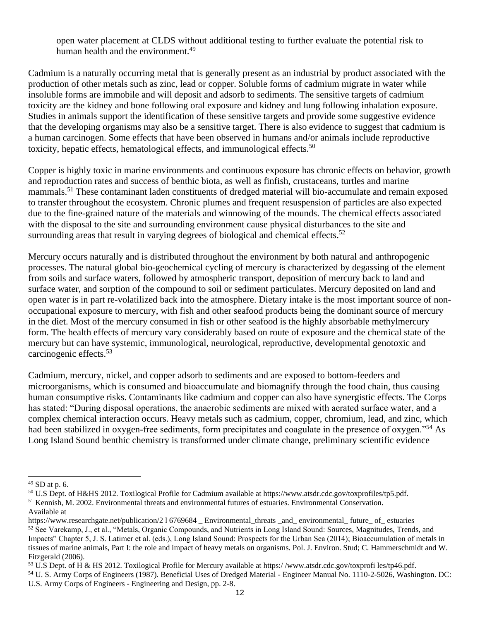open water placement at CLDS without additional testing to further evaluate the potential risk to human health and the environment.<sup>49</sup>

Cadmium is a naturally occurring metal that is generally present as an industrial by product associated with the production of other metals such as zinc, lead or copper. Soluble forms of cadmium migrate in water while insoluble forms are immobile and will deposit and adsorb to sediments. The sensitive targets of cadmium toxicity are the kidney and bone following oral exposure and kidney and lung following inhalation exposure. Studies in animals support the identification of these sensitive targets and provide some suggestive evidence that the developing organisms may also be a sensitive target. There is also evidence to suggest that cadmium is a human carcinogen. Some effects that have been observed in humans and/or animals include reproductive toxicity, hepatic effects, hematological effects, and immunological effects.<sup>50</sup>

Copper is highly toxic in marine environments and continuous exposure has chronic effects on behavior, growth and reproduction rates and success of benthic biota, as well as finfish, crustaceans, turtles and marine mammals.<sup>51</sup> These contaminant laden constituents of dredged material will bio-accumulate and remain exposed to transfer throughout the ecosystem. Chronic plumes and frequent resuspension of particles are also expected due to the fine-grained nature of the materials and winnowing of the mounds. The chemical effects associated with the disposal to the site and surrounding environment cause physical disturbances to the site and surrounding areas that result in varying degrees of biological and chemical effects. $52$ 

Mercury occurs naturally and is distributed throughout the environment by both natural and anthropogenic processes. The natural global bio-geochemical cycling of mercury is characterized by degassing of the element from soils and surface waters, followed by atmospheric transport, deposition of mercury back to land and surface water, and sorption of the compound to soil or sediment particulates. Mercury deposited on land and open water is in part re-volatilized back into the atmosphere. Dietary intake is the most important source of nonoccupational exposure to mercury, with fish and other seafood products being the dominant source of mercury in the diet. Most of the mercury consumed in fish or other seafood is the highly absorbable methylmercury form. The health effects of mercury vary considerably based on route of exposure and the chemical state of the mercury but can have systemic, immunological, neurological, reproductive, developmental genotoxic and carcinogenic effects.<sup>53</sup>

Cadmium, mercury, nickel, and copper adsorb to sediments and are exposed to bottom-feeders and microorganisms, which is consumed and bioaccumulate and biomagnify through the food chain, thus causing human consumptive risks. Contaminants like cadmium and copper can also have synergistic effects. The Corps has stated: "During disposal operations, the anaerobic sediments are mixed with aerated surface water, and a complex chemical interaction occurs. Heavy metals such as cadmium, copper, chromium, lead, and zinc, which had been stabilized in oxygen-free sediments, form precipitates and coagulate in the presence of oxygen."<sup>54</sup> As Long Island Sound benthic chemistry is transformed under climate change, preliminary scientific evidence

<sup>49</sup> SD at p. 6.

<sup>50</sup> U.S Dept. of H&HS 2012. Toxilogical Profile for Cadmium available at https://www.atsdr.cdc.gov/toxprofiles/tp5.pdf. <sup>51</sup> Kennish, M. 2002. Environmental threats and environmental futures of estuaries. Environmental Conservation.

Available at

https://www.researchgate.net/publication/2 l 6769684 \_ Environmental\_threats \_and\_ environmental\_ future\_ of\_ estuaries <sup>52</sup> See Varekamp, J., et al., "Metals, Organic Compounds, and Nutrients in Long Island Sound: Sources, Magnitudes, Trends, and Impacts" Chapter 5, J. S. Latimer et al. (eds.), Long Island Sound: Prospects for the Urban Sea (2014); Bioaccumulation of metals in tissues of marine animals, Part I: the role and impact of heavy metals on organisms. Pol. J. Environ. Stud; C. Hammerschmidt and W. Fitzgerald (2006).

<sup>53</sup> U.S Dept. of H & HS 2012. Toxilogical Profile for Mercury available at https:/ /www.atsdr.cdc.gov/toxprofi les/tp46.pdf.

<sup>54</sup> U. S. Army Corps of Engineers (1987). Beneficial Uses of Dredged Material - Engineer Manual No. 1110-2-5026, Washington. DC: U.S. Army Corps of Engineers - Engineering and Design, pp. 2-8.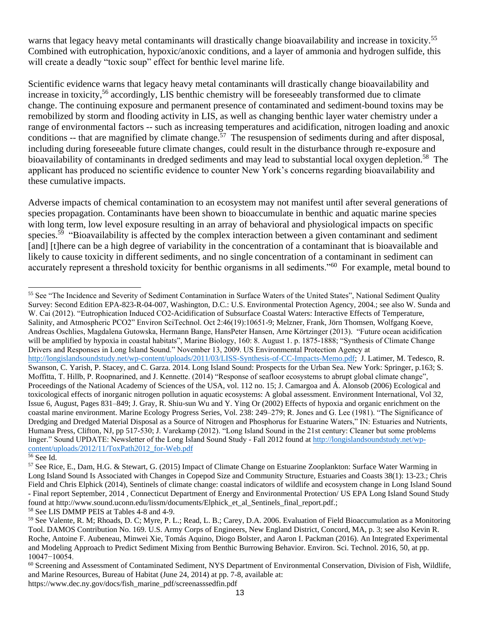warns that legacy heavy metal contaminants will drastically change bioavailability and increase in toxicity.<sup>55</sup> Combined with eutrophication, hypoxic/anoxic conditions, and a layer of ammonia and hydrogen sulfide, this will create a deadly "toxic soup" effect for benthic level marine life.

Scientific evidence warns that legacy heavy metal contaminants will drastically change bioavailability and increase in toxicity,<sup>56</sup> accordingly, LIS benthic chemistry will be foreseeably transformed due to climate change. The continuing exposure and permanent presence of contaminated and sediment-bound toxins may be remobilized by storm and flooding activity in LIS, as well as changing benthic layer water chemistry under a range of environmental factors -- such as increasing temperatures and acidification, nitrogen loading and anoxic conditions  $-$  that are magnified by climate change.<sup>57</sup> The resuspension of sediments during and after disposal, including during foreseeable future climate changes, could result in the disturbance through re-exposure and bioavailability of contaminants in dredged sediments and may lead to substantial local oxygen depletion.<sup>58</sup> The applicant has produced no scientific evidence to counter New York's concerns regarding bioavailability and these cumulative impacts.

Adverse impacts of chemical contamination to an ecosystem may not manifest until after several generations of species propagation. Contaminants have been shown to bioaccumulate in benthic and aquatic marine species with long term, low level exposure resulting in an array of behavioral and physiological impacts on specific species.<sup>59</sup> "Bioavailability is affected by the complex interaction between a given contaminant and sediment [and] [t]here can be a high degree of variability in the concentration of a contaminant that is bioavailable and likely to cause toxicity in different sediments, and no single concentration of a contaminant in sediment can accurately represent a threshold toxicity for benthic organisms in all sediments."<sup>60</sup> For example, metal bound to

<sup>55</sup> See "The Incidence and Severity of Sediment Contamination in Surface Waters of the United States", National Sediment Quality Survey: Second Edition EPA-823-R-04-007, Washington, D.C.: U.S. Environmental Protection Agency, 2004.; see also W. Sunda and W. Cai (2012). "Eutrophication Induced CO2-Acidification of Subsurface Coastal Waters: Interactive Effects of Temperature, Salinity, and Atmospheric PCO2" Environ SciTechnol. Oct 2:46(19):10651-9; Melzner, Frank, Jörn Thomsen, Wolfgang Koeve, Andreas Oschlies, Magdalena Gutowska, Hermann Bange, HansPeter Hansen, Arne Körtzinger (2013). "Future ocean acidification will be amplified by hypoxia in coastal habitats", Marine Biology, 160: 8. August 1. p. 1875-1888; "Synthesis of Climate Change Drivers and Responses in Long Island Sound." November 13, 2009. US Environmental Protection Agency at [http://longislandsoundstudy.net/wp-content/uploads/2011/03/LISS-Synthesis-of-CC-Impacts-Memo.pdf;](http://longislandsoundstudy.net/wp-content/uploads/2011/03/LISS-Synthesis-of-CC-Impacts-Memo.pdf) J. Latimer, M. Tedesco, R. Swanson, C. Yarish, P. Stacey, and C. Garza. 2014. Long Island Sound: Prospects for the Urban Sea. New York: Springer, p.163; S. Moffitta, T. Hillb, P. Roopnarined, and J. Kennette. (2014) "Response of seafloor ecosystems to abrupt global climate change", Proceedings of the National Academy of Sciences of the USA, vol. 112 no. 15; J. Camargoa and Á. Alonsob (2006) Ecological and toxicological effects of inorganic nitrogen pollution in aquatic ecosystems: A global assessment. Environment International, Vol 32, Issue 6, August, Pages 831–849; J. Gray, R. Shiu-sun Wu and Y. Ying Or (2002) Effects of hypoxia and organic enrichment on the coastal marine environment. Marine Ecology Progress Series, Vol. 238: 249–279; R. Jones and G. Lee (1981). "The Significance of Dredging and Dredged Material Disposal as a Source of Nitrogen and Phosphorus for Estuarine Waters," IN: Estuaries and Nutrients, Humana Press, Clifton, NJ, pp 517-530; J. Varekamp (2012). "Long Island Sound in the 21st century: Cleaner but some problems linger." Sound UPDATE: Newsletter of the Long Island Sound Study - Fall 2012 found at [http://longislandsoundstudy.net/wp](http://longislandsoundstudy.net/wp-content/uploads/2012/11/ToxPath2012_for-Web.pdf)[content/uploads/2012/11/ToxPath2012\\_for-Web.pdf](http://longislandsoundstudy.net/wp-content/uploads/2012/11/ToxPath2012_for-Web.pdf)

<sup>56</sup> See Id.

<sup>58</sup> See LIS DMMP PEIS at Tables 4-8 and 4-9.

https://www.dec.ny.gov/docs/fish\_marine\_pdf/screenasssedfin.pdf

<sup>57</sup> See Rice, E., Dam, H.G. & Stewart, G. (2015) Impact of Climate Change on Estuarine Zooplankton: Surface Water Warming in Long Island Sound Is Associated with Changes in Copepod Size and Community Structure, Estuaries and Coasts 38(1): 13-23.; Chris Field and Chris Elphick (2014), Sentinels of climate change: coastal indicators of wildlife and ecosystem change in Long Island Sound - Final report September, 2014 , Connecticut Department of Energy and Environmental Protection/ US EPA Long Island Sound Study found at http://www.sound.uconn.edu/lissm/documents/Elphick\_et\_al\_Sentinels\_final\_report.pdf.;

<sup>59</sup> See Valente, R. M; Rhoads, D. C; Myre, P. L.; Read, L. B.; Carey, D.A. 2006. Evaluation of Field Bioaccumulation as a Monitoring Tool. DAMOS Contribution No. 169. U.S. Army Corps of Engineers, New England District, Concord, MA, p. 3; see also Kevin R. Roche, Antoine F. Aubeneau, Minwei Xie, Tomás Aquino, Diogo Bolster, and Aaron I. Packman (2016). An Integrated Experimental and Modeling Approach to Predict Sediment Mixing from Benthic Burrowing Behavior. Environ. Sci. Technol. 2016, 50, at pp. 10047−10054.

<sup>&</sup>lt;sup>60</sup> Screening and Assessment of Contaminated Sediment, NYS Department of Environmental Conservation, Division of Fish, Wildlife, and Marine Resources, Bureau of Habitat (June 24, 2014) at pp. 7-8, available at: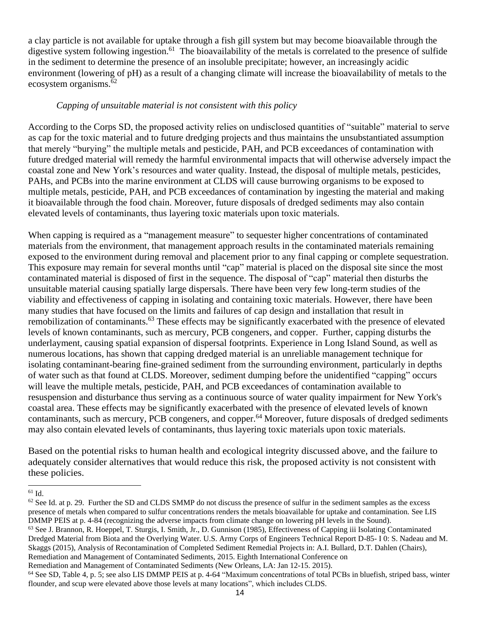a clay particle is not available for uptake through a fish gill system but may become bioavailable through the digestive system following ingestion.<sup>61</sup> The bioavailability of the metals is correlated to the presence of sulfide in the sediment to determine the presence of an insoluble precipitate; however, an increasingly acidic environment (lowering of pH) as a result of a changing climate will increase the bioavailability of metals to the ecosystem organisms. $62$ 

## *Capping of unsuitable material is not consistent with this policy*

According to the Corps SD, the proposed activity relies on undisclosed quantities of "suitable" material to serve as cap for the toxic material and to future dredging projects and thus maintains the unsubstantiated assumption that merely "burying" the multiple metals and pesticide, PAH, and PCB exceedances of contamination with future dredged material will remedy the harmful environmental impacts that will otherwise adversely impact the coastal zone and New York's resources and water quality. Instead, the disposal of multiple metals, pesticides, PAHs, and PCBs into the marine environment at CLDS will cause burrowing organisms to be exposed to multiple metals, pesticide, PAH, and PCB exceedances of contamination by ingesting the material and making it bioavailable through the food chain. Moreover, future disposals of dredged sediments may also contain elevated levels of contaminants, thus layering toxic materials upon toxic materials.

When capping is required as a "management measure" to sequester higher concentrations of contaminated materials from the environment, that management approach results in the contaminated materials remaining exposed to the environment during removal and placement prior to any final capping or complete sequestration. This exposure may remain for several months until "cap" material is placed on the disposal site since the most contaminated material is disposed of first in the sequence. The disposal of "cap" material then disturbs the unsuitable material causing spatially large dispersals. There have been very few long-term studies of the viability and effectiveness of capping in isolating and containing toxic materials. However, there have been many studies that have focused on the limits and failures of cap design and installation that result in remobilization of contaminants.<sup>63</sup> These effects may be significantly exacerbated with the presence of elevated levels of known contaminants, such as mercury, PCB congeners, and copper. Further, capping disturbs the underlayment, causing spatial expansion of dispersal footprints. Experience in Long Island Sound, as well as numerous locations, has shown that capping dredged material is an unreliable management technique for isolating contaminant-bearing fine-grained sediment from the surrounding environment, particularly in depths of water such as that found at CLDS. Moreover, sediment dumping before the unidentified "capping" occurs will leave the multiple metals, pesticide, PAH, and PCB exceedances of contamination available to resuspension and disturbance thus serving as a continuous source of water quality impairment for New York's coastal area. These effects may be significantly exacerbated with the presence of elevated levels of known contaminants, such as mercury, PCB congeners, and copper.<sup>64</sup> Moreover, future disposals of dredged sediments may also contain elevated levels of contaminants, thus layering toxic materials upon toxic materials.

Based on the potential risks to human health and ecological integrity discussed above, and the failure to adequately consider alternatives that would reduce this risk, the proposed activity is not consistent with these policies.

<sup>61</sup> Id.

Remediation and Management of Contaminated Sediments (New Orleans, LA: Jan 12-15. 2015).

 $62$  See Id. at p. 29. Further the SD and CLDS SMMP do not discuss the presence of sulfur in the sediment samples as the excess presence of metals when compared to sulfur concentrations renders the metals bioavailable for uptake and contamination. See LIS DMMP PEIS at p. 4-84 (recognizing the adverse impacts from climate change on lowering pH levels in the Sound).

<sup>63</sup> See J. Brannon, R. Hoeppel, T. Sturgis, I. Smith, Jr., D. Gunnison (1985), Effectiveness of Capping iii Isolating Contaminated Dredged Material from Biota and the Overlying Water. U.S. Army Corps of Engineers Technical Report D-85- I 0: S. Nadeau and M. Skaggs (2015), Analysis of Recontamination of Completed Sediment Remedial Projects in: A.I. Bullard, D.T. Dahlen (Chairs), Remediation and Management of Contaminated Sediments, 2015. Eighth International Conference on

<sup>64</sup> See SD, Table 4, p. 5; see also LIS DMMP PEIS at p. 4-64 "Maximum concentrations of total PCBs in bluefish, striped bass, winter flounder, and scup were elevated above those levels at many locations", which includes CLDS.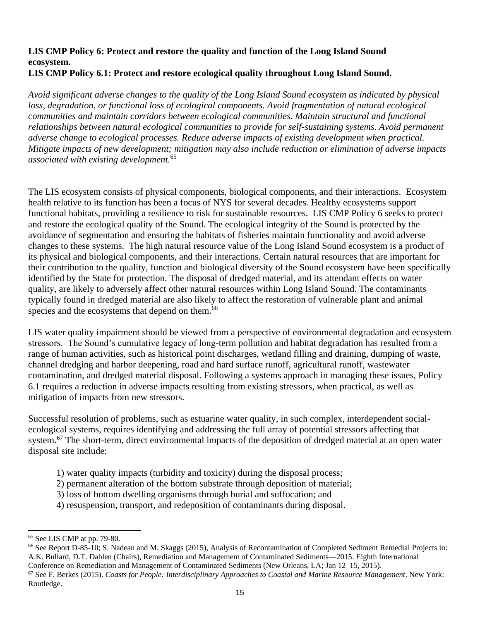### **LIS CMP Policy 6: Protect and restore the quality and function of the Long Island Sound ecosystem. LIS CMP Policy 6.1: Protect and restore ecological quality throughout Long Island Sound.**

*Avoid significant adverse changes to the quality of the Long Island Sound ecosystem as indicated by physical loss, degradation, or functional loss of ecological components. Avoid fragmentation of natural ecological communities and maintain corridors between ecological communities. Maintain structural and functional relationships between natural ecological communities to provide for self-sustaining systems. Avoid permanent adverse change to ecological processes. Reduce adverse impacts of existing development when practical. Mitigate impacts of new development; mitigation may also include reduction or elimination of adverse impacts associated with existing development.*<sup>65</sup>

The LIS ecosystem consists of physical components, biological components, and their interactions. Ecosystem health relative to its function has been a focus of NYS for several decades. Healthy ecosystems support functional habitats, providing a resilience to risk for sustainable resources. LIS CMP Policy 6 seeks to protect and restore the ecological quality of the Sound. The ecological integrity of the Sound is protected by the avoidance of segmentation and ensuring the habitats of fisheries maintain functionality and avoid adverse changes to these systems. The high natural resource value of the Long Island Sound ecosystem is a product of its physical and biological components, and their interactions. Certain natural resources that are important for their contribution to the quality, function and biological diversity of the Sound ecosystem have been specifically identified by the State for protection. The disposal of dredged material, and its attendant effects on water quality, are likely to adversely affect other natural resources within Long Island Sound. The contaminants typically found in dredged material are also likely to affect the restoration of vulnerable plant and animal species and the ecosystems that depend on them.<sup>66</sup>

LIS water quality impairment should be viewed from a perspective of environmental degradation and ecosystem stressors. The Sound's cumulative legacy of long-term pollution and habitat degradation has resulted from a range of human activities, such as historical point discharges, wetland filling and draining, dumping of waste, channel dredging and harbor deepening, road and hard surface runoff, agricultural runoff, wastewater contamination, and dredged material disposal. Following a systems approach in managing these issues, Policy 6.1 requires a reduction in adverse impacts resulting from existing stressors, when practical, as well as mitigation of impacts from new stressors.

Successful resolution of problems, such as estuarine water quality, in such complex, interdependent socialecological systems, requires identifying and addressing the full array of potential stressors affecting that system.<sup>67</sup> The short-term, direct environmental impacts of the deposition of dredged material at an open water disposal site include:

- 1) water quality impacts (turbidity and toxicity) during the disposal process;
- 2) permanent alteration of the bottom substrate through deposition of material;
- 3) loss of bottom dwelling organisms through burial and suffocation; and
- 4) resuspension, transport, and redeposition of contaminants during disposal.

<sup>65</sup> See LIS CMP at pp. 79-80.

<sup>66</sup> See Report D-85-10; S. Nadeau and M. Skaggs (2015), Analysis of Recontamination of Completed Sediment Remedial Projects in: A.K. Bullard, D.T. Dahlen (Chairs), Remediation and Management of Contaminated Sediments—2015. Eighth International Conference on Remediation and Management of Contaminated Sediments (New Orleans, LA; Jan 12–15, 2015).

<sup>67</sup> See F. Berkes (2015). *Coasts for People: Interdisciplinary Approaches to Coastal and Marine Resource Management*. New York: Routledge.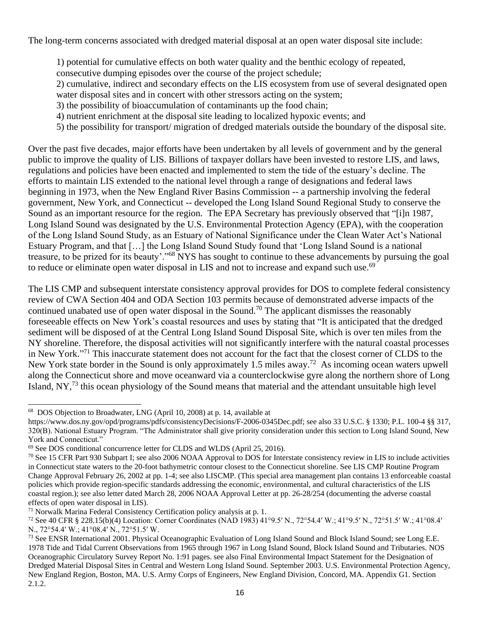The long-term concerns associated with dredged material disposal at an open water disposal site include:

1) potential for cumulative effects on both water quality and the benthic ecology of repeated,

consecutive dumping episodes over the course of the project schedule;

2) cumulative, indirect and secondary effects on the LIS ecosystem from use of several designated open water disposal sites and in concert with other stressors acting on the system;

- 3) the possibility of bioaccumulation of contaminants up the food chain;
- 4) nutrient enrichment at the disposal site leading to localized hypoxic events; and
- 5) the possibility for transport/ migration of dredged materials outside the boundary of the disposal site.

Over the past five decades, major efforts have been undertaken by all levels of government and by the general public to improve the quality of LIS. Billions of taxpayer dollars have been invested to restore LIS, and laws, regulations and policies have been enacted and implemented to stem the tide of the estuary's decline. The efforts to maintain LIS extended to the national level through a range of designations and federal laws beginning in 1973, when the New England River Basins Commission -- a partnership involving the federal government, New York, and Connecticut -- developed the Long Island Sound Regional Study to conserve the Sound as an important resource for the region. The EPA Secretary has previously observed that "[i]n 1987, Long Island Sound was designated by the U.S. Environmental Protection Agency (EPA), with the cooperation of the Long Island Sound Study, as an Estuary of National Significance under the Clean Water Act's National Estuary Program, and that […] the Long Island Sound Study found that 'Long Island Sound is a national treasure, to be prized for its beauty'."<sup>68</sup> NYS has sought to continue to these advancements by pursuing the goal to reduce or eliminate open water disposal in LIS and not to increase and expand such use.<sup>69</sup>

The LIS CMP and subsequent interstate consistency approval provides for DOS to complete federal consistency review of CWA Section 404 and ODA Section 103 permits because of demonstrated adverse impacts of the continued unabated use of open water disposal in the Sound.<sup>70</sup> The applicant dismisses the reasonably foreseeable effects on New York's coastal resources and uses by stating that "It is anticipated that the dredged sediment will be disposed of at the Central Long Island Sound Disposal Site, which is over ten miles from the NY shoreline. Therefore, the disposal activities will not significantly interfere with the natural coastal processes in New York."<sup>71</sup> This inaccurate statement does not account for the fact that the closest corner of CLDS to the New York state border in the Sound is only approximately 1.5 miles away.<sup>72</sup> As incoming ocean waters upwell along the Connecticut shore and move oceanward via a counterclockwise gyre along the northern shore of Long Island,  $NY<sub>1</sub><sup>73</sup>$  this ocean physiology of the Sound means that material and the attendant unsuitable high level

<sup>68</sup> DOS Objection to Broadwater, LNG (April 10, 2008) at p. 14, available at

https://www.dos.ny.gov/opd/programs/pdfs/consistencyDecisions/F-2006-0345Dec.pdf; see also 33 U.S.C. § 1330; P.L. 100-4 §§ 317, 320(B). National Estuary Program. "The Administrator shall give priority consideration under this section to Long Island Sound, New York and Connecticut."

<sup>69</sup> See DOS conditional concurrence letter for CLDS and WLDS (April 25, 2016).

<sup>&</sup>lt;sup>70</sup> See 15 CFR Part 930 Subpart I; see also 2006 NOAA Approval to DOS for Interstate consistency review in LIS to include activities in Connecticut state waters to the 20-foot bathymetric contour closest to the Connecticut shoreline. See LIS CMP Routine Program Change Approval February 26, 2002 at pp. 1-4; see also LISCMP. (This special area management plan contains 13 enforceable coastal policies which provide region-specific standards addressing the economic, environmental, and cultural characteristics of the LIS coastal region.); see also letter dated March 28, 2006 NOAA Approval Letter at pp. 26-28/254 (documenting the adverse coastal effects of open water disposal in LIS).

 $71$  Norwalk Marina Federal Consistency Certification policy analysis at p. 1.

<sup>72</sup> See 40 CFR § 228.15(b)(4) Location: Corner Coordinates (NAD 1983) 41°9.5′ N., 72°54.4′ W.; 41°9.5′ N., 72°51.5′ W.; 41°08.4′ N., 72°54.4′ W.; 41°08.4′ N., 72°51.5′ W.

<sup>&</sup>lt;sup>73</sup> See ENSR International 2001. Physical Oceanographic Evaluation of Long Island Sound and Block Island Sound; see Long E.E. 1978 Tide and Tidal Current Observations from 1965 through 1967 in Long Island Sound, Block Island Sound and Tributaries. NOS Oceanographic Circulatory Survey Report No. 1:91 pages. see also Final Environmental Impact Statement for the Designation of Dredged Material Disposal Sites in Central and Western Long Island Sound. September 2003. U.S. Environmental Protection Agency, New England Region, Boston, MA. U.S. Army Corps of Engineers, New England Division, Concord, MA. Appendix G1. Section 2.1.2.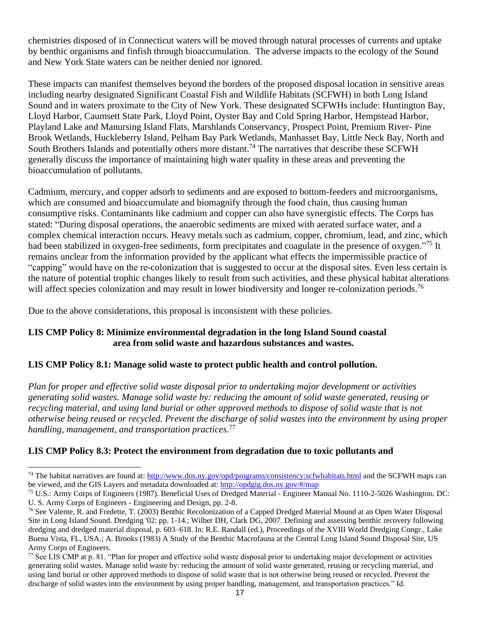chemistries disposed of in Connecticut waters will be moved through natural processes of currents and uptake by benthic organisms and finfish through bioaccumulation. The adverse impacts to the ecology of the Sound and New York State waters can be neither denied nor ignored.

These impacts can manifest themselves beyond the borders of the proposed disposal location in sensitive areas including nearby designated Significant Coastal Fish and Wildlife Habitats (SCFWH) in both Long Island Sound and in waters proximate to the City of New York. These designated SCFWHs include: Huntington Bay, Lloyd Harbor, Caumsett State Park, Lloyd Point, Oyster Bay and Cold Spring Harbor, Hempstead Harbor, Playland Lake and Manursing Island Flats, Marshlands Conservancy, Prospect Point, Premium River- Pine Brook Wetlands, Huckleberry Island, Pelham Bay Park Wetlands, Manhasset Bay, Little Neck Bay, North and South Brothers Islands and potentially others more distant.<sup>74</sup> The narratives that describe these SCFWH generally discuss the importance of maintaining high water quality in these areas and preventing the bioaccumulation of pollutants.

Cadmium, mercury, and copper adsorb to sediments and are exposed to bottom-feeders and microorganisms, which are consumed and bioaccumulate and biomagnify through the food chain, thus causing human consumptive risks. Contaminants like cadmium and copper can also have synergistic effects. The Corps has stated: "During disposal operations, the anaerobic sediments are mixed with aerated surface water, and a complex chemical interaction occurs. Heavy metals such as cadmium, copper, chromium, lead, and zinc, which had been stabilized in oxygen-free sediments, form precipitates and coagulate in the presence of oxygen."<sup>75</sup> It remains unclear from the information provided by the applicant what effects the impermissible practice of "capping" would have on the re-colonization that is suggested to occur at the disposal sites. Even less certain is the nature of potential trophic changes likely to result from such activities, and these physical habitat alterations will affect species colonization and may result in lower biodiversity and longer re-colonization periods.<sup>76</sup>

Due to the above considerations, this proposal is inconsistent with these policies.

# **LIS CMP Policy 8: Minimize environmental degradation in the long Island Sound coastal area from solid waste and hazardous substances and wastes.**

## **LIS CMP Policy 8.1: Manage solid waste to protect public health and control pollution.**

*Plan for proper and effective solid waste disposal prior to undertaking major development or activities generating solid wastes. Manage solid waste by: reducing the amount of solid waste generated, reusing or recycling material, and using land burial or other approved methods to dispose of solid waste that is not otherwise being reused or recycled. Prevent the discharge of solid wastes into the environment by using proper handling, management, and transportation practices*. 77

# **LIS CMP Policy 8.3: Protect the environment from degradation due to toxic pollutants and**

<sup>74</sup> The habitat narratives are found at[: http://www.dos.ny.gov/opd/programs/consistency:scfwhabitats.html](http://www.dos.ny.gov/opd/programs/consistency:scfwhabitats.html) and the SCFWH maps can be viewed, and the GIS Layers and metadata downloaded at:<http://opdgig.dos.ny.gov/#/map>

<sup>75</sup> U.S.: Army Corps of Engineers (1987). Beneficial Uses of Dredged Material - Engineer Manual No. 1110-2-5026 Washington. DC: U. S. Army Corps of Engineers - Engineering and Design, pp. 2-8.

<sup>&</sup>lt;sup>76</sup> See Valente, R. and Fredette, T. (2003) Benthic Recolonization of a Capped Dredged Material Mound at an Open Water Disposal Site in Long Island Sound. Dredging '02: pp. 1-14.; Wilber DH, Clark DG, 2007. Defining and assessing benthic recovery following dredging and dredged material disposal, p. 603–618. In: R.E. Randall (ed.), Proceedings of the XVIII World Dredging Congr., Lake Buena Vista, FL, USA.; A. Brooks (1983) A Study of the Benthic Macrofauna at the Central Long Island Sound Disposal Site, US Army Corps of Engineers.

 $77$  See LIS CMP at p. 81. "Plan for proper and effective solid waste disposal prior to undertaking major development or activities generating solid wastes. Manage solid waste by: reducing the amount of solid waste generated, reusing or recycling material, and using land burial or other approved methods to dispose of solid waste that is not otherwise being reused or recycled. Prevent the discharge of solid wastes into the environment by using proper handling, management, and transportation practices." Id.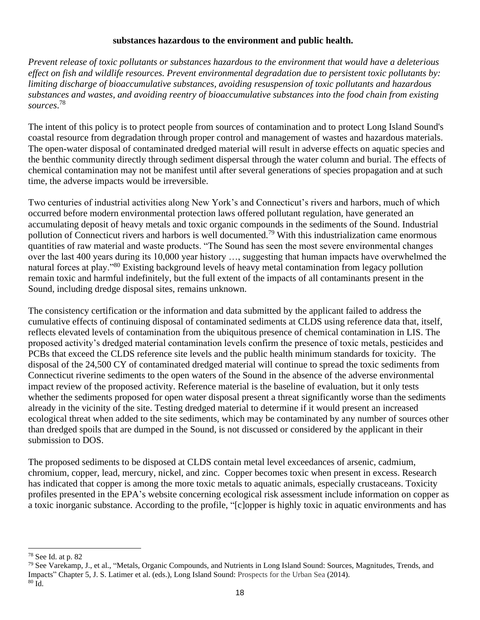#### **substances hazardous to the environment and public health.**

*Prevent release of toxic pollutants or substances hazardous to the environment that would have a deleterious effect on fish and wildlife resources. Prevent environmental degradation due to persistent toxic pollutants by: limiting discharge of bioaccumulative substances, avoiding resuspension of toxic pollutants and hazardous substances and wastes, and avoiding reentry of bioaccumulative substances into the food chain from existing sources*. 78

The intent of this policy is to protect people from sources of contamination and to protect Long Island Sound's coastal resource from degradation through proper control and management of wastes and hazardous materials. The open-water disposal of contaminated dredged material will result in adverse effects on aquatic species and the benthic community directly through sediment dispersal through the water column and burial. The effects of chemical contamination may not be manifest until after several generations of species propagation and at such time, the adverse impacts would be irreversible.

Two centuries of industrial activities along New York's and Connecticut's rivers and harbors, much of which occurred before modern environmental protection laws offered pollutant regulation, have generated an accumulating deposit of heavy metals and toxic organic compounds in the sediments of the Sound. Industrial pollution of Connecticut rivers and harbors is well documented.<sup>79</sup> With this industrialization came enormous quantities of raw material and waste products. "The Sound has seen the most severe environmental changes over the last 400 years during its 10,000 year history …, suggesting that human impacts have overwhelmed the natural forces at play."<sup>80</sup> Existing background levels of heavy metal contamination from legacy pollution remain toxic and harmful indefinitely, but the full extent of the impacts of all contaminants present in the Sound, including dredge disposal sites, remains unknown.

The consistency certification or the information and data submitted by the applicant failed to address the cumulative effects of continuing disposal of contaminated sediments at CLDS using reference data that, itself, reflects elevated levels of contamination from the ubiquitous presence of chemical contamination in LIS. The proposed activity's dredged material contamination levels confirm the presence of toxic metals, pesticides and PCBs that exceed the CLDS reference site levels and the public health minimum standards for toxicity. The disposal of the 24,500 CY of contaminated dredged material will continue to spread the toxic sediments from Connecticut riverine sediments to the open waters of the Sound in the absence of the adverse environmental impact review of the proposed activity. Reference material is the baseline of evaluation, but it only tests whether the sediments proposed for open water disposal present a threat significantly worse than the sediments already in the vicinity of the site. Testing dredged material to determine if it would present an increased ecological threat when added to the site sediments, which may be contaminated by any number of sources other than dredged spoils that are dumped in the Sound, is not discussed or considered by the applicant in their submission to DOS.

The proposed sediments to be disposed at CLDS contain metal level exceedances of arsenic, cadmium, chromium, copper, lead, mercury, nickel, and zinc. Copper becomes toxic when present in excess. Research has indicated that copper is among the more toxic metals to aquatic animals, especially crustaceans. Toxicity profiles presented in the EPA's website concerning ecological risk assessment include information on copper as a toxic inorganic substance. According to the profile, "[c]opper is highly toxic in aquatic environments and has

<sup>78</sup> See Id. at p. 82

<sup>&</sup>lt;sup>79</sup> See Varekamp, J., et al., "Metals, Organic Compounds, and Nutrients in Long Island Sound: Sources, Magnitudes, Trends, and Impacts" Chapter 5, J. S. Latimer et al. (eds.), Long Island Sound: Prospects for the Urban Sea (2014). <sup>80</sup> Id.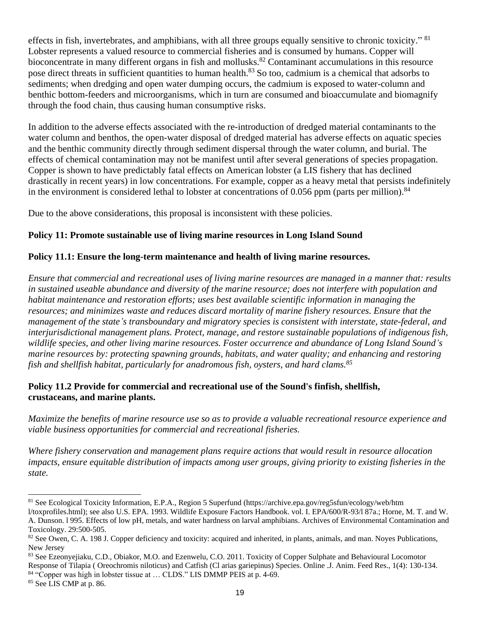effects in fish, invertebrates, and amphibians, with all three groups equally sensitive to chronic toxicity." <sup>81</sup> Lobster represents a valued resource to commercial fisheries and is consumed by humans. Copper will bioconcentrate in many different organs in fish and mollusks.<sup>82</sup> Contaminant accumulations in this resource pose direct threats in sufficient quantities to human health.<sup>83</sup> So too, cadmium is a chemical that adsorbs to sediments; when dredging and open water dumping occurs, the cadmium is exposed to water-column and benthic bottom-feeders and microorganisms, which in turn are consumed and bioaccumulate and biomagnify through the food chain, thus causing human consumptive risks.

In addition to the adverse effects associated with the re-introduction of dredged material contaminants to the water column and benthos, the open-water disposal of dredged material has adverse effects on aquatic species and the benthic community directly through sediment dispersal through the water column, and burial. The effects of chemical contamination may not be manifest until after several generations of species propagation. Copper is shown to have predictably fatal effects on American lobster (a LIS fishery that has declined drastically in recent years) in low concentrations. For example, copper as a heavy metal that persists indefinitely in the environment is considered lethal to lobster at concentrations of  $0.056$  ppm (parts per million).<sup>84</sup>

Due to the above considerations, this proposal is inconsistent with these policies.

## **Policy 11: Promote sustainable use of living marine resources in Long Island Sound**

## **Policy 11.1: Ensure the long-term maintenance and health of living marine resources.**

*Ensure that commercial and recreational uses of living marine resources are managed in a manner that: results in sustained useable abundance and diversity of the marine resource; does not interfere with population and habitat maintenance and restoration efforts; uses best available scientific information in managing the resources; and minimizes waste and reduces discard mortality of marine fishery resources. Ensure that the management of the state's transboundary and migratory species is consistent with interstate, state-federal, and interjurisdictional management plans. Protect, manage, and restore sustainable populations of indigenous fish, wildlife species, and other living marine resources. Foster occurrence and abundance of Long Island Sound's marine resources by: protecting spawning grounds, habitats, and water quality; and enhancing and restoring fish and shellfish habitat, particularly for anadromous fish, oysters, and hard clams.<sup>85</sup>*

# **Policy 11.2 Provide for commercial and recreational use of the Sound's finfish, shellfish, crustaceans, and marine plants.**

*Maximize the benefits of marine resource use so as to provide a valuable recreational resource experience and viable business opportunities for commercial and recreational fisheries.*

*Where fishery conservation and management plans require actions that would result in resource allocation impacts, ensure equitable distribution of impacts among user groups, giving priority to existing fisheries in the state.*

<sup>81</sup> See Ecological Toxicity Information, E.P.A., Region 5 Superfund (https://archive.epa.gov/reg5sfun/ecology/web/htm

l/toxprofiles.html); see also U.S. EPA. 1993. Wildlife Exposure Factors Handbook. vol. I. EPA/600/R-93/l 87a.; Horne, M. T. and W. A. Dunson. l 995. Effects of low pH, metals, and water hardness on larval amphibians. Archives of Environmental Contamination and Toxicology. 29:500-505.

<sup>&</sup>lt;sup>82</sup> See Owen, C. A. 198 J. Copper deficiency and toxicity: acquired and inherited, in plants, animals, and man. Noyes Publications, New Jersey

<sup>83</sup> See Ezeonyejiaku, C.D., Obiakor, M.O. and Ezenwelu, C.O. 2011. Toxicity of Copper Sulphate and Behavioural Locomotor

Response of Tilapia ( Oreochromis niloticus) and Catfish (Cl arias gariepinus) Species. Online .J. Anim. Feed Res., 1(4): 130-134. <sup>84</sup> "Copper was high in lobster tissue at ... CLDS." LIS DMMP PEIS at p. 4-69.

<sup>85</sup> See LIS CMP at p. 86.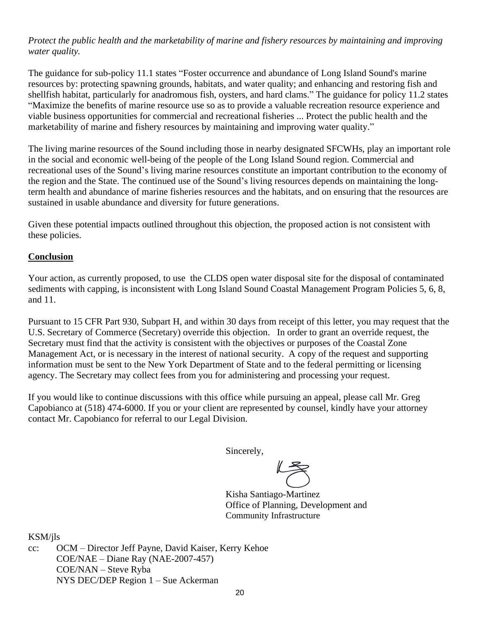# *Protect the public health and the marketability of marine and fishery resources by maintaining and improving water quality.*

The guidance for sub-policy 11.1 states "Foster occurrence and abundance of Long Island Sound's marine resources by: protecting spawning grounds, habitats, and water quality; and enhancing and restoring fish and shellfish habitat, particularly for anadromous fish, oysters, and hard clams." The guidance for policy 11.2 states "Maximize the benefits of marine resource use so as to provide a valuable recreation resource experience and viable business opportunities for commercial and recreational fisheries ... Protect the public health and the marketability of marine and fishery resources by maintaining and improving water quality."

The living marine resources of the Sound including those in nearby designated SFCWHs, play an important role in the social and economic well-being of the people of the Long Island Sound region. Commercial and recreational uses of the Sound's living marine resources constitute an important contribution to the economy of the region and the State. The continued use of the Sound's living resources depends on maintaining the longterm health and abundance of marine fisheries resources and the habitats, and on ensuring that the resources are sustained in usable abundance and diversity for future generations.

Given these potential impacts outlined throughout this objection, the proposed action is not consistent with these policies.

### **Conclusion**

Your action, as currently proposed, to use the CLDS open water disposal site for the disposal of contaminated sediments with capping, is inconsistent with Long Island Sound Coastal Management Program Policies 5, 6, 8, and 11.

Pursuant to 15 CFR Part 930, Subpart H, and within 30 days from receipt of this letter, you may request that the U.S. Secretary of Commerce (Secretary) override this objection. In order to grant an override request, the Secretary must find that the activity is consistent with the objectives or purposes of the Coastal Zone Management Act, or is necessary in the interest of national security. A copy of the request and supporting information must be sent to the New York Department of State and to the federal permitting or licensing agency. The Secretary may collect fees from you for administering and processing your request.

If you would like to continue discussions with this office while pursuing an appeal, please call Mr. Greg Capobianco at (518) 474-6000. If you or your client are represented by counsel, kindly have your attorney contact Mr. Capobianco for referral to our Legal Division.

Sincerely,

Kisha Santiago-Martinez Office of Planning, Development and Community Infrastructure

KSM/jls

cc: OCM – Director Jeff Payne, David Kaiser, Kerry Kehoe COE/NAE – Diane Ray (NAE-2007-457) COE/NAN – Steve Ryba NYS DEC/DEP Region 1 – Sue Ackerman